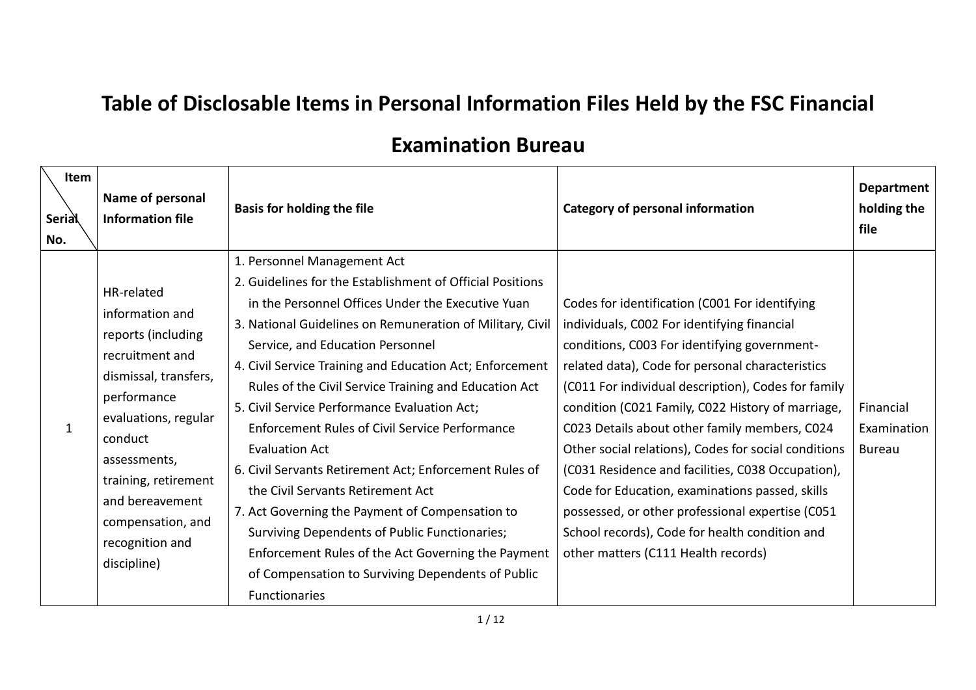## **Table of Disclosable Items in Personal Information Files Held by the FSC Financial**

## **Examination Bureau**

| <b>Item</b><br><b>Serial</b><br>No. | Name of personal<br><b>Information file</b>                                                                                                                                                                                                                         | <b>Basis for holding the file</b>                                                                                                                                                                                                                                                                                                                                                                                                                                                                                                                                                                                                                                                                                                                                                                                                           | <b>Category of personal information</b>                                                                                                                                                                                                                                                                                                                                                                                                                                                                                                                                                                                                                                     | <b>Department</b><br>holding the<br>file  |
|-------------------------------------|---------------------------------------------------------------------------------------------------------------------------------------------------------------------------------------------------------------------------------------------------------------------|---------------------------------------------------------------------------------------------------------------------------------------------------------------------------------------------------------------------------------------------------------------------------------------------------------------------------------------------------------------------------------------------------------------------------------------------------------------------------------------------------------------------------------------------------------------------------------------------------------------------------------------------------------------------------------------------------------------------------------------------------------------------------------------------------------------------------------------------|-----------------------------------------------------------------------------------------------------------------------------------------------------------------------------------------------------------------------------------------------------------------------------------------------------------------------------------------------------------------------------------------------------------------------------------------------------------------------------------------------------------------------------------------------------------------------------------------------------------------------------------------------------------------------------|-------------------------------------------|
|                                     | HR-related<br>information and<br>reports (including<br>recruitment and<br>dismissal, transfers,<br>performance<br>evaluations, regular<br>conduct<br>assessments,<br>training, retirement<br>and bereavement<br>compensation, and<br>recognition and<br>discipline) | 1. Personnel Management Act<br>2. Guidelines for the Establishment of Official Positions<br>in the Personnel Offices Under the Executive Yuan<br>3. National Guidelines on Remuneration of Military, Civil<br>Service, and Education Personnel<br>4. Civil Service Training and Education Act; Enforcement<br>Rules of the Civil Service Training and Education Act<br>5. Civil Service Performance Evaluation Act;<br><b>Enforcement Rules of Civil Service Performance</b><br><b>Evaluation Act</b><br>6. Civil Servants Retirement Act; Enforcement Rules of<br>the Civil Servants Retirement Act<br>7. Act Governing the Payment of Compensation to<br><b>Surviving Dependents of Public Functionaries;</b><br>Enforcement Rules of the Act Governing the Payment<br>of Compensation to Surviving Dependents of Public<br>Functionaries | Codes for identification (C001 For identifying<br>individuals, C002 For identifying financial<br>conditions, C003 For identifying government-<br>related data), Code for personal characteristics<br>(C011 For individual description), Codes for family<br>condition (C021 Family, C022 History of marriage,<br>C023 Details about other family members, C024<br>Other social relations), Codes for social conditions<br>(C031 Residence and facilities, C038 Occupation),<br>Code for Education, examinations passed, skills<br>possessed, or other professional expertise (C051<br>School records), Code for health condition and<br>other matters (C111 Health records) | Financial<br>Examination<br><b>Bureau</b> |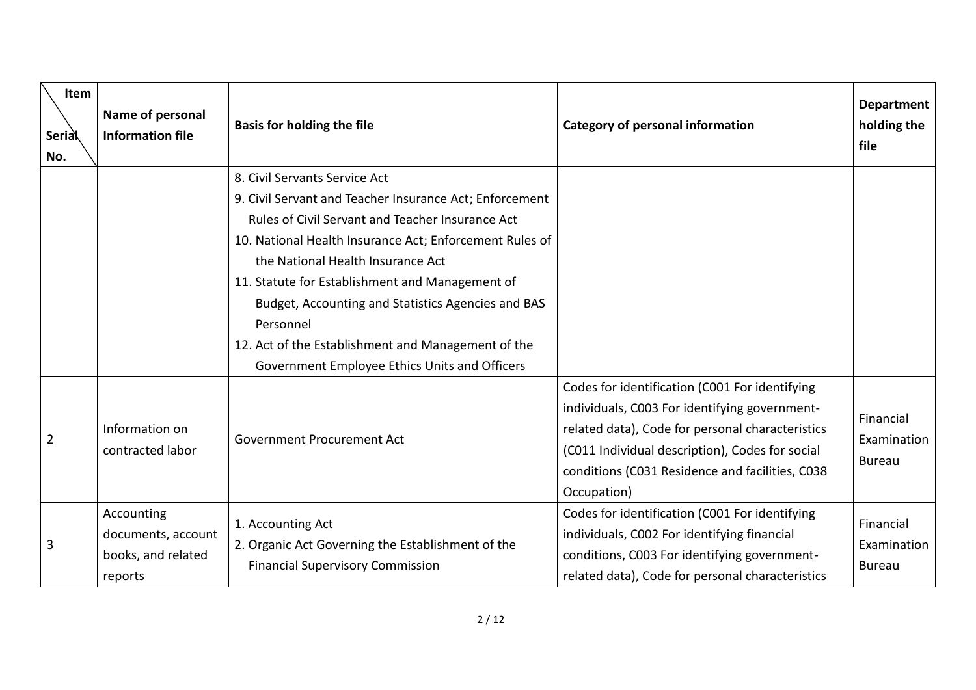| <b>Item</b><br><b>Serial</b><br>No. | Name of personal<br><b>Information file</b>                       | <b>Basis for holding the file</b>                                                                                                                                                                                                                                                                                                                                                                                                                                         | <b>Category of personal information</b>                                                                                                                                                                                                                                  | <b>Department</b><br>holding the<br>file  |
|-------------------------------------|-------------------------------------------------------------------|---------------------------------------------------------------------------------------------------------------------------------------------------------------------------------------------------------------------------------------------------------------------------------------------------------------------------------------------------------------------------------------------------------------------------------------------------------------------------|--------------------------------------------------------------------------------------------------------------------------------------------------------------------------------------------------------------------------------------------------------------------------|-------------------------------------------|
|                                     |                                                                   | 8. Civil Servants Service Act<br>9. Civil Servant and Teacher Insurance Act; Enforcement<br>Rules of Civil Servant and Teacher Insurance Act<br>10. National Health Insurance Act; Enforcement Rules of<br>the National Health Insurance Act<br>11. Statute for Establishment and Management of<br>Budget, Accounting and Statistics Agencies and BAS<br>Personnel<br>12. Act of the Establishment and Management of the<br>Government Employee Ethics Units and Officers |                                                                                                                                                                                                                                                                          |                                           |
| $\overline{2}$                      | Information on<br>contracted labor                                | Government Procurement Act                                                                                                                                                                                                                                                                                                                                                                                                                                                | Codes for identification (C001 For identifying<br>individuals, C003 For identifying government-<br>related data), Code for personal characteristics<br>(C011 Individual description), Codes for social<br>conditions (C031 Residence and facilities, C038<br>Occupation) | Financial<br>Examination<br><b>Bureau</b> |
| 3                                   | Accounting<br>documents, account<br>books, and related<br>reports | 1. Accounting Act<br>2. Organic Act Governing the Establishment of the<br><b>Financial Supervisory Commission</b>                                                                                                                                                                                                                                                                                                                                                         | Codes for identification (C001 For identifying<br>individuals, C002 For identifying financial<br>conditions, C003 For identifying government-<br>related data), Code for personal characteristics                                                                        | Financial<br>Examination<br><b>Bureau</b> |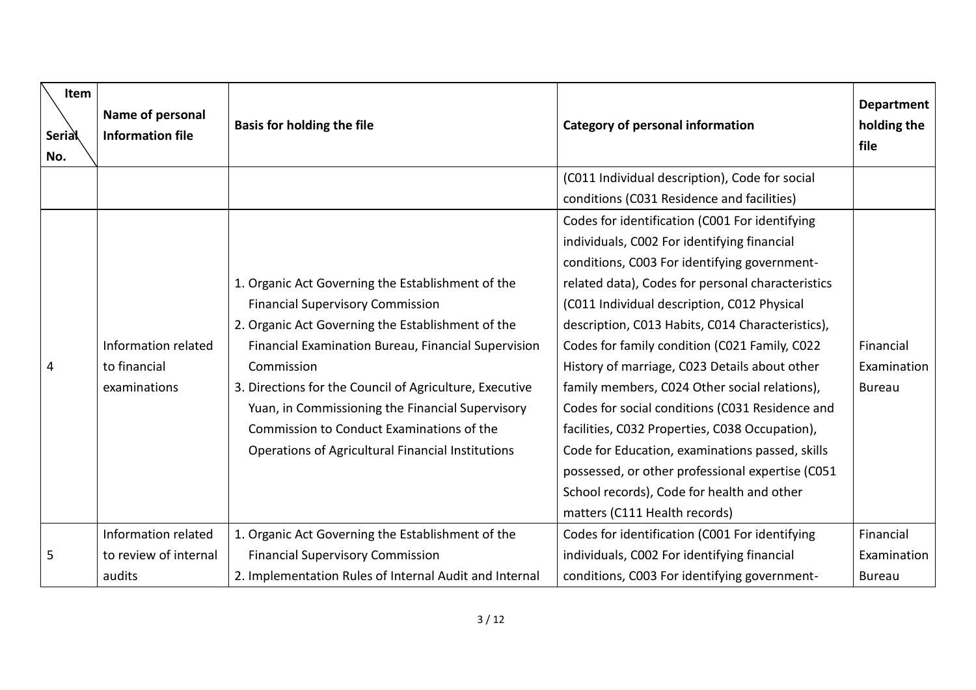| <b>Item</b><br><b>Serial</b><br>No. | Name of personal<br><b>Information file</b> | <b>Basis for holding the file</b>                       | <b>Category of personal information</b>           | <b>Department</b><br>holding the<br>file |
|-------------------------------------|---------------------------------------------|---------------------------------------------------------|---------------------------------------------------|------------------------------------------|
|                                     |                                             |                                                         | (C011 Individual description), Code for social    |                                          |
|                                     |                                             |                                                         | conditions (C031 Residence and facilities)        |                                          |
|                                     |                                             |                                                         | Codes for identification (C001 For identifying    |                                          |
|                                     |                                             |                                                         | individuals, C002 For identifying financial       |                                          |
|                                     |                                             |                                                         | conditions, C003 For identifying government-      |                                          |
|                                     |                                             | 1. Organic Act Governing the Establishment of the       | related data), Codes for personal characteristics |                                          |
|                                     |                                             | <b>Financial Supervisory Commission</b>                 | (C011 Individual description, C012 Physical       |                                          |
|                                     |                                             | 2. Organic Act Governing the Establishment of the       | description, C013 Habits, C014 Characteristics),  |                                          |
|                                     | Information related                         | Financial Examination Bureau, Financial Supervision     | Codes for family condition (C021 Family, C022     | Financial                                |
| 4                                   | to financial                                | Commission                                              | History of marriage, C023 Details about other     | Examination                              |
|                                     | examinations                                | 3. Directions for the Council of Agriculture, Executive | family members, C024 Other social relations),     | <b>Bureau</b>                            |
|                                     |                                             | Yuan, in Commissioning the Financial Supervisory        | Codes for social conditions (C031 Residence and   |                                          |
|                                     |                                             | Commission to Conduct Examinations of the               | facilities, C032 Properties, C038 Occupation),    |                                          |
|                                     |                                             | Operations of Agricultural Financial Institutions       | Code for Education, examinations passed, skills   |                                          |
|                                     |                                             |                                                         | possessed, or other professional expertise (C051  |                                          |
|                                     |                                             |                                                         | School records), Code for health and other        |                                          |
|                                     |                                             |                                                         | matters (C111 Health records)                     |                                          |
|                                     | Information related                         | 1. Organic Act Governing the Establishment of the       | Codes for identification (C001 For identifying    | Financial                                |
| 5                                   | to review of internal                       | <b>Financial Supervisory Commission</b>                 | individuals, C002 For identifying financial       | Examination                              |
|                                     | audits                                      | 2. Implementation Rules of Internal Audit and Internal  | conditions, C003 For identifying government-      | <b>Bureau</b>                            |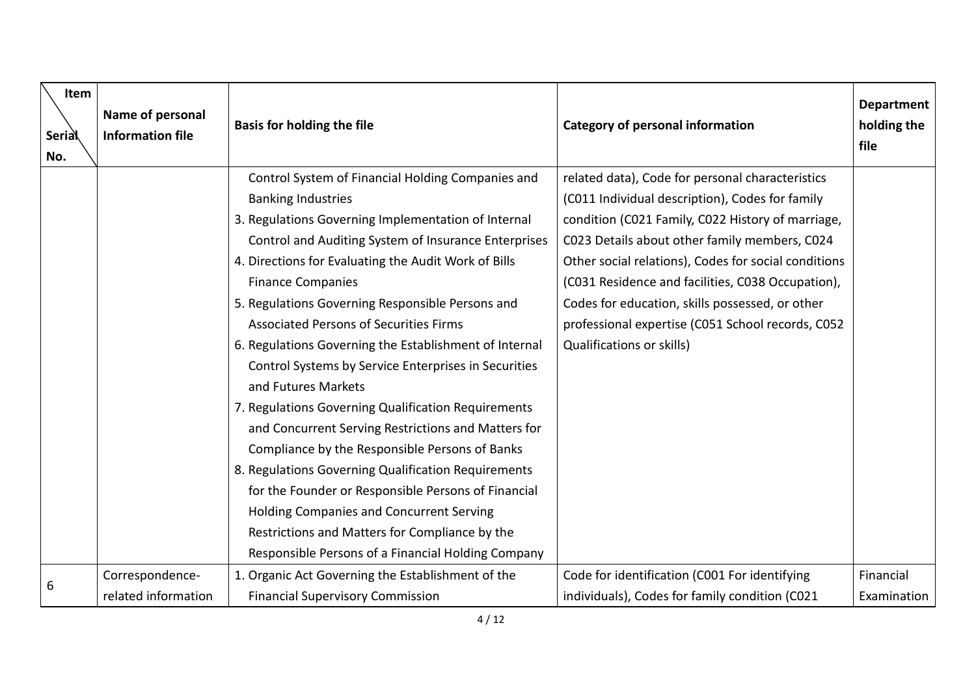| Item<br><b>Serial</b><br>No. | Name of personal<br><b>Information file</b> | <b>Basis for holding the file</b>                      | <b>Category of personal information</b>              | <b>Department</b><br>holding the<br>file |
|------------------------------|---------------------------------------------|--------------------------------------------------------|------------------------------------------------------|------------------------------------------|
|                              |                                             | Control System of Financial Holding Companies and      | related data), Code for personal characteristics     |                                          |
|                              |                                             | <b>Banking Industries</b>                              | (C011 Individual description), Codes for family      |                                          |
|                              |                                             | 3. Regulations Governing Implementation of Internal    | condition (C021 Family, C022 History of marriage,    |                                          |
|                              |                                             | Control and Auditing System of Insurance Enterprises   | C023 Details about other family members, C024        |                                          |
|                              |                                             | 4. Directions for Evaluating the Audit Work of Bills   | Other social relations), Codes for social conditions |                                          |
|                              |                                             | <b>Finance Companies</b>                               | (C031 Residence and facilities, C038 Occupation),    |                                          |
|                              |                                             | 5. Regulations Governing Responsible Persons and       | Codes for education, skills possessed, or other      |                                          |
|                              |                                             | <b>Associated Persons of Securities Firms</b>          | professional expertise (C051 School records, C052    |                                          |
|                              |                                             | 6. Regulations Governing the Establishment of Internal | <b>Qualifications or skills)</b>                     |                                          |
|                              |                                             | Control Systems by Service Enterprises in Securities   |                                                      |                                          |
|                              |                                             | and Futures Markets                                    |                                                      |                                          |
|                              |                                             | 7. Regulations Governing Qualification Requirements    |                                                      |                                          |
|                              |                                             | and Concurrent Serving Restrictions and Matters for    |                                                      |                                          |
|                              |                                             | Compliance by the Responsible Persons of Banks         |                                                      |                                          |
|                              |                                             | 8. Regulations Governing Qualification Requirements    |                                                      |                                          |
|                              |                                             | for the Founder or Responsible Persons of Financial    |                                                      |                                          |
|                              |                                             | <b>Holding Companies and Concurrent Serving</b>        |                                                      |                                          |
|                              |                                             | Restrictions and Matters for Compliance by the         |                                                      |                                          |
|                              |                                             | Responsible Persons of a Financial Holding Company     |                                                      |                                          |
|                              | Correspondence-                             | 1. Organic Act Governing the Establishment of the      | Code for identification (C001 For identifying        | Financial                                |
| 6                            | related information                         | <b>Financial Supervisory Commission</b>                | individuals), Codes for family condition (C021       | Examination                              |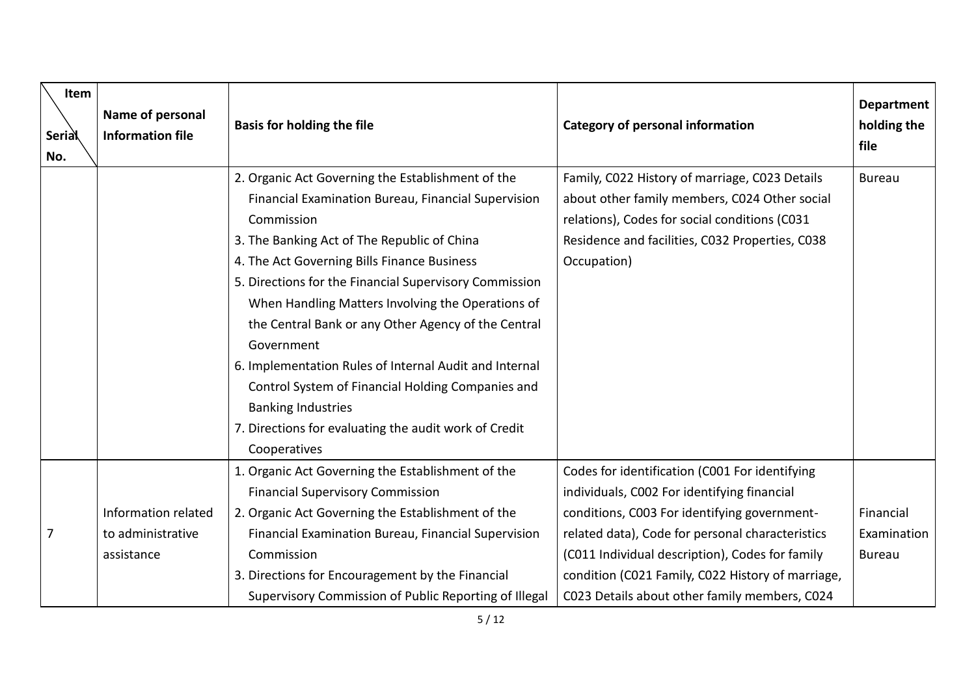| Item<br><b>Serial</b><br>No. | Name of personal<br><b>Information file</b>            | <b>Basis for holding the file</b>                                                                                                                                                                                                                                                                                                                                                                                                                                                                                                                                                                                             | <b>Category of personal information</b>                                                                                                                                                                                                                                                                                                                    | <b>Department</b><br>holding the<br>file  |
|------------------------------|--------------------------------------------------------|-------------------------------------------------------------------------------------------------------------------------------------------------------------------------------------------------------------------------------------------------------------------------------------------------------------------------------------------------------------------------------------------------------------------------------------------------------------------------------------------------------------------------------------------------------------------------------------------------------------------------------|------------------------------------------------------------------------------------------------------------------------------------------------------------------------------------------------------------------------------------------------------------------------------------------------------------------------------------------------------------|-------------------------------------------|
|                              |                                                        | 2. Organic Act Governing the Establishment of the<br>Financial Examination Bureau, Financial Supervision<br>Commission<br>3. The Banking Act of The Republic of China<br>4. The Act Governing Bills Finance Business<br>5. Directions for the Financial Supervisory Commission<br>When Handling Matters Involving the Operations of<br>the Central Bank or any Other Agency of the Central<br>Government<br>6. Implementation Rules of Internal Audit and Internal<br>Control System of Financial Holding Companies and<br><b>Banking Industries</b><br>7. Directions for evaluating the audit work of Credit<br>Cooperatives | Family, C022 History of marriage, C023 Details<br>about other family members, C024 Other social<br>relations), Codes for social conditions (C031<br>Residence and facilities, C032 Properties, C038<br>Occupation)                                                                                                                                         | <b>Bureau</b>                             |
| 7                            | Information related<br>to administrative<br>assistance | 1. Organic Act Governing the Establishment of the<br><b>Financial Supervisory Commission</b><br>2. Organic Act Governing the Establishment of the<br>Financial Examination Bureau, Financial Supervision<br>Commission<br>3. Directions for Encouragement by the Financial<br>Supervisory Commission of Public Reporting of Illegal                                                                                                                                                                                                                                                                                           | Codes for identification (C001 For identifying<br>individuals, C002 For identifying financial<br>conditions, C003 For identifying government-<br>related data), Code for personal characteristics<br>(C011 Individual description), Codes for family<br>condition (C021 Family, C022 History of marriage,<br>C023 Details about other family members, C024 | Financial<br>Examination<br><b>Bureau</b> |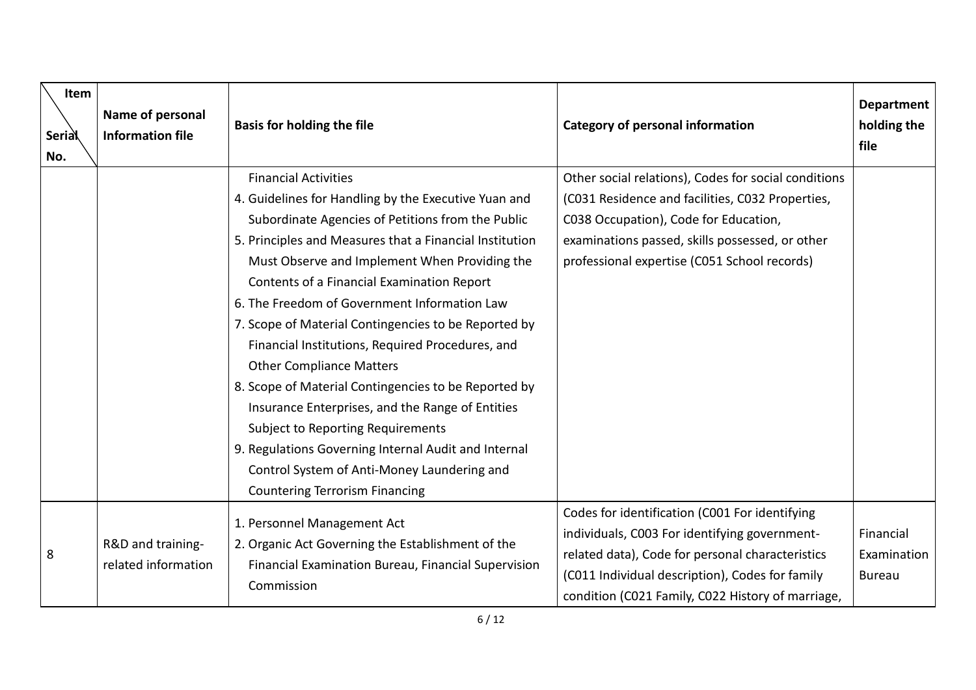| Item<br><b>Serial</b><br>No. | Name of personal<br><b>Information file</b> | <b>Basis for holding the file</b>                                                                                                                                                                                                                                                                                                                                                                                                                                                                                                                                                                                                                                                                                                                                                                         | <b>Category of personal information</b>                                                                                                                                                                                                                     | <b>Department</b><br>holding the<br>file  |
|------------------------------|---------------------------------------------|-----------------------------------------------------------------------------------------------------------------------------------------------------------------------------------------------------------------------------------------------------------------------------------------------------------------------------------------------------------------------------------------------------------------------------------------------------------------------------------------------------------------------------------------------------------------------------------------------------------------------------------------------------------------------------------------------------------------------------------------------------------------------------------------------------------|-------------------------------------------------------------------------------------------------------------------------------------------------------------------------------------------------------------------------------------------------------------|-------------------------------------------|
|                              |                                             | <b>Financial Activities</b><br>4. Guidelines for Handling by the Executive Yuan and<br>Subordinate Agencies of Petitions from the Public<br>5. Principles and Measures that a Financial Institution<br>Must Observe and Implement When Providing the<br>Contents of a Financial Examination Report<br>6. The Freedom of Government Information Law<br>7. Scope of Material Contingencies to be Reported by<br>Financial Institutions, Required Procedures, and<br><b>Other Compliance Matters</b><br>8. Scope of Material Contingencies to be Reported by<br>Insurance Enterprises, and the Range of Entities<br><b>Subject to Reporting Requirements</b><br>9. Regulations Governing Internal Audit and Internal<br>Control System of Anti-Money Laundering and<br><b>Countering Terrorism Financing</b> | Other social relations), Codes for social conditions<br>(C031 Residence and facilities, C032 Properties,<br>C038 Occupation), Code for Education,<br>examinations passed, skills possessed, or other<br>professional expertise (C051 School records)        |                                           |
| 8                            | R&D and training-<br>related information    | 1. Personnel Management Act<br>2. Organic Act Governing the Establishment of the<br>Financial Examination Bureau, Financial Supervision<br>Commission                                                                                                                                                                                                                                                                                                                                                                                                                                                                                                                                                                                                                                                     | Codes for identification (C001 For identifying<br>individuals, C003 For identifying government-<br>related data), Code for personal characteristics<br>(C011 Individual description), Codes for family<br>condition (C021 Family, C022 History of marriage, | Financial<br>Examination<br><b>Bureau</b> |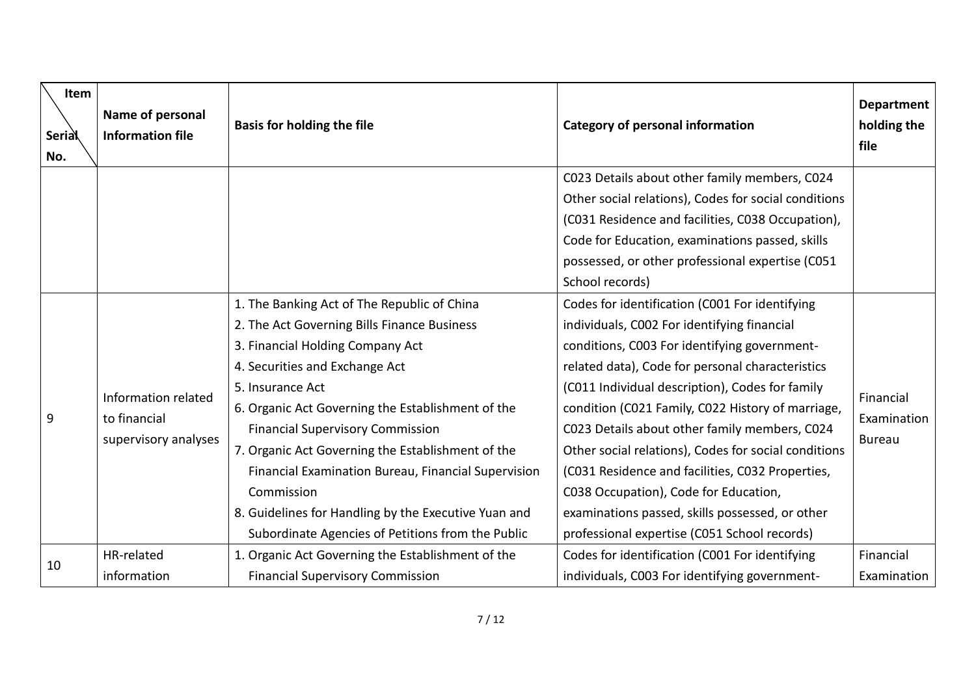| Item<br><b>Serial</b><br>No. | Name of personal<br><b>Information file</b>                 | <b>Basis for holding the file</b>                                                                                                                                                                                                                                                                                                                                                                                                                                                                                           | <b>Category of personal information</b>                                                                                                                                                                                                                                                                                                                                                                                                                                                                                                                                                                            | <b>Department</b><br>holding the<br>file  |
|------------------------------|-------------------------------------------------------------|-----------------------------------------------------------------------------------------------------------------------------------------------------------------------------------------------------------------------------------------------------------------------------------------------------------------------------------------------------------------------------------------------------------------------------------------------------------------------------------------------------------------------------|--------------------------------------------------------------------------------------------------------------------------------------------------------------------------------------------------------------------------------------------------------------------------------------------------------------------------------------------------------------------------------------------------------------------------------------------------------------------------------------------------------------------------------------------------------------------------------------------------------------------|-------------------------------------------|
|                              |                                                             |                                                                                                                                                                                                                                                                                                                                                                                                                                                                                                                             | C023 Details about other family members, C024<br>Other social relations), Codes for social conditions<br>(C031 Residence and facilities, C038 Occupation),                                                                                                                                                                                                                                                                                                                                                                                                                                                         |                                           |
|                              |                                                             |                                                                                                                                                                                                                                                                                                                                                                                                                                                                                                                             | Code for Education, examinations passed, skills<br>possessed, or other professional expertise (C051<br>School records)                                                                                                                                                                                                                                                                                                                                                                                                                                                                                             |                                           |
| 9                            | Information related<br>to financial<br>supervisory analyses | 1. The Banking Act of The Republic of China<br>2. The Act Governing Bills Finance Business<br>3. Financial Holding Company Act<br>4. Securities and Exchange Act<br>5. Insurance Act<br>6. Organic Act Governing the Establishment of the<br><b>Financial Supervisory Commission</b><br>7. Organic Act Governing the Establishment of the<br>Financial Examination Bureau, Financial Supervision<br>Commission<br>8. Guidelines for Handling by the Executive Yuan and<br>Subordinate Agencies of Petitions from the Public | Codes for identification (C001 For identifying<br>individuals, C002 For identifying financial<br>conditions, C003 For identifying government-<br>related data), Code for personal characteristics<br>(C011 Individual description), Codes for family<br>condition (C021 Family, C022 History of marriage,<br>C023 Details about other family members, C024<br>Other social relations), Codes for social conditions<br>(C031 Residence and facilities, C032 Properties,<br>C038 Occupation), Code for Education,<br>examinations passed, skills possessed, or other<br>professional expertise (C051 School records) | Financial<br>Examination<br><b>Bureau</b> |
| 10                           | HR-related<br>information                                   | 1. Organic Act Governing the Establishment of the<br><b>Financial Supervisory Commission</b>                                                                                                                                                                                                                                                                                                                                                                                                                                | Codes for identification (C001 For identifying<br>individuals, C003 For identifying government-                                                                                                                                                                                                                                                                                                                                                                                                                                                                                                                    | Financial<br>Examination                  |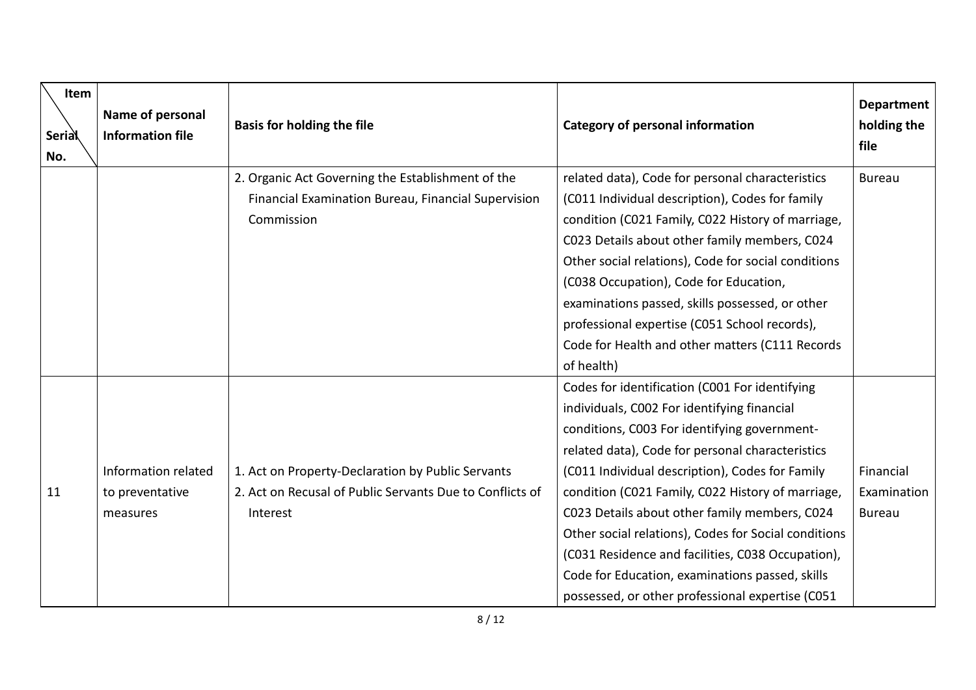| Item<br><b>Serial</b><br>No. | Name of personal<br><b>Information file</b> | <b>Basis for holding the file</b>                                                                        | <b>Category of personal information</b>                                                                                                                                                                          | <b>Department</b><br>holding the<br>file |
|------------------------------|---------------------------------------------|----------------------------------------------------------------------------------------------------------|------------------------------------------------------------------------------------------------------------------------------------------------------------------------------------------------------------------|------------------------------------------|
|                              |                                             | 2. Organic Act Governing the Establishment of the<br>Financial Examination Bureau, Financial Supervision | related data), Code for personal characteristics<br>(C011 Individual description), Codes for family                                                                                                              | <b>Bureau</b>                            |
|                              |                                             | Commission                                                                                               | condition (C021 Family, C022 History of marriage,                                                                                                                                                                |                                          |
|                              |                                             |                                                                                                          | C023 Details about other family members, C024                                                                                                                                                                    |                                          |
|                              |                                             |                                                                                                          | Other social relations), Code for social conditions                                                                                                                                                              |                                          |
|                              |                                             |                                                                                                          | (C038 Occupation), Code for Education,                                                                                                                                                                           |                                          |
|                              |                                             |                                                                                                          | examinations passed, skills possessed, or other                                                                                                                                                                  |                                          |
|                              |                                             |                                                                                                          | professional expertise (C051 School records),                                                                                                                                                                    |                                          |
|                              |                                             |                                                                                                          | Code for Health and other matters (C111 Records                                                                                                                                                                  |                                          |
|                              |                                             |                                                                                                          | of health)                                                                                                                                                                                                       |                                          |
|                              |                                             |                                                                                                          | Codes for identification (C001 For identifying                                                                                                                                                                   |                                          |
|                              |                                             |                                                                                                          | individuals, C002 For identifying financial                                                                                                                                                                      |                                          |
|                              |                                             |                                                                                                          | conditions, C003 For identifying government-                                                                                                                                                                     |                                          |
|                              |                                             |                                                                                                          | related data), Code for personal characteristics                                                                                                                                                                 |                                          |
|                              | Information related                         | 1. Act on Property-Declaration by Public Servants                                                        | (C011 Individual description), Codes for Family                                                                                                                                                                  | Financial                                |
| 11                           | to preventative                             | 2. Act on Recusal of Public Servants Due to Conflicts of                                                 | condition (C021 Family, C022 History of marriage,                                                                                                                                                                | Examination                              |
|                              | measures                                    | Interest                                                                                                 | C023 Details about other family members, C024                                                                                                                                                                    | <b>Bureau</b>                            |
|                              |                                             |                                                                                                          |                                                                                                                                                                                                                  |                                          |
|                              |                                             |                                                                                                          |                                                                                                                                                                                                                  |                                          |
|                              |                                             |                                                                                                          |                                                                                                                                                                                                                  |                                          |
|                              |                                             |                                                                                                          | Other social relations), Codes for Social conditions<br>(C031 Residence and facilities, C038 Occupation),<br>Code for Education, examinations passed, skills<br>possessed, or other professional expertise (C051 |                                          |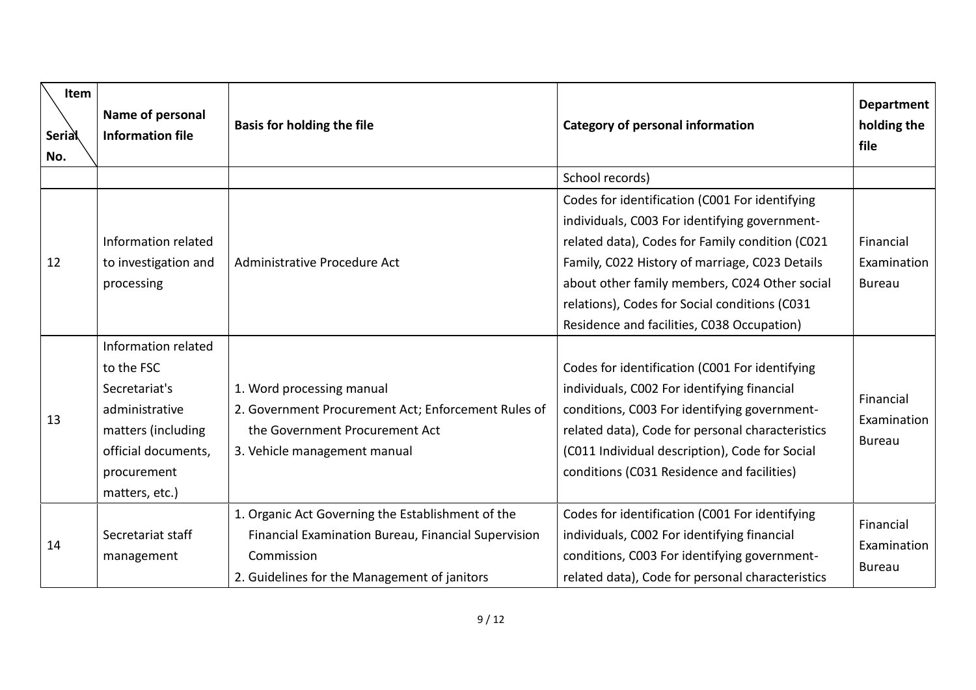| <b>Item</b><br><b>Serial</b><br>No. | Name of personal<br><b>Information file</b>                                                                                                        | <b>Basis for holding the file</b>                                                                                                                                      | <b>Category of personal information</b>                                                                                                                                                                                                                                                           | <b>Department</b><br>holding the<br>file  |
|-------------------------------------|----------------------------------------------------------------------------------------------------------------------------------------------------|------------------------------------------------------------------------------------------------------------------------------------------------------------------------|---------------------------------------------------------------------------------------------------------------------------------------------------------------------------------------------------------------------------------------------------------------------------------------------------|-------------------------------------------|
|                                     |                                                                                                                                                    |                                                                                                                                                                        | School records)                                                                                                                                                                                                                                                                                   |                                           |
|                                     |                                                                                                                                                    |                                                                                                                                                                        | Codes for identification (C001 For identifying                                                                                                                                                                                                                                                    |                                           |
|                                     |                                                                                                                                                    |                                                                                                                                                                        | individuals, C003 For identifying government-                                                                                                                                                                                                                                                     |                                           |
|                                     | Information related                                                                                                                                |                                                                                                                                                                        | related data), Codes for Family condition (C021                                                                                                                                                                                                                                                   | Financial                                 |
| 12                                  | to investigation and                                                                                                                               | Administrative Procedure Act                                                                                                                                           | Family, C022 History of marriage, C023 Details                                                                                                                                                                                                                                                    | Examination                               |
|                                     | processing                                                                                                                                         |                                                                                                                                                                        | about other family members, C024 Other social                                                                                                                                                                                                                                                     | <b>Bureau</b>                             |
|                                     |                                                                                                                                                    |                                                                                                                                                                        | relations), Codes for Social conditions (C031                                                                                                                                                                                                                                                     |                                           |
|                                     |                                                                                                                                                    |                                                                                                                                                                        | Residence and facilities, C038 Occupation)                                                                                                                                                                                                                                                        |                                           |
| 13                                  | Information related<br>to the FSC<br>Secretariat's<br>administrative<br>matters (including<br>official documents,<br>procurement<br>matters, etc.) | 1. Word processing manual<br>2. Government Procurement Act; Enforcement Rules of<br>the Government Procurement Act<br>3. Vehicle management manual                     | Codes for identification (C001 For identifying<br>individuals, C002 For identifying financial<br>conditions, C003 For identifying government-<br>related data), Code for personal characteristics<br>(C011 Individual description), Code for Social<br>conditions (C031 Residence and facilities) | Financial<br>Examination<br><b>Bureau</b> |
| 14                                  | Secretariat staff<br>management                                                                                                                    | 1. Organic Act Governing the Establishment of the<br>Financial Examination Bureau, Financial Supervision<br>Commission<br>2. Guidelines for the Management of janitors | Codes for identification (C001 For identifying<br>individuals, C002 For identifying financial<br>conditions, C003 For identifying government-<br>related data), Code for personal characteristics                                                                                                 | Financial<br>Examination<br><b>Bureau</b> |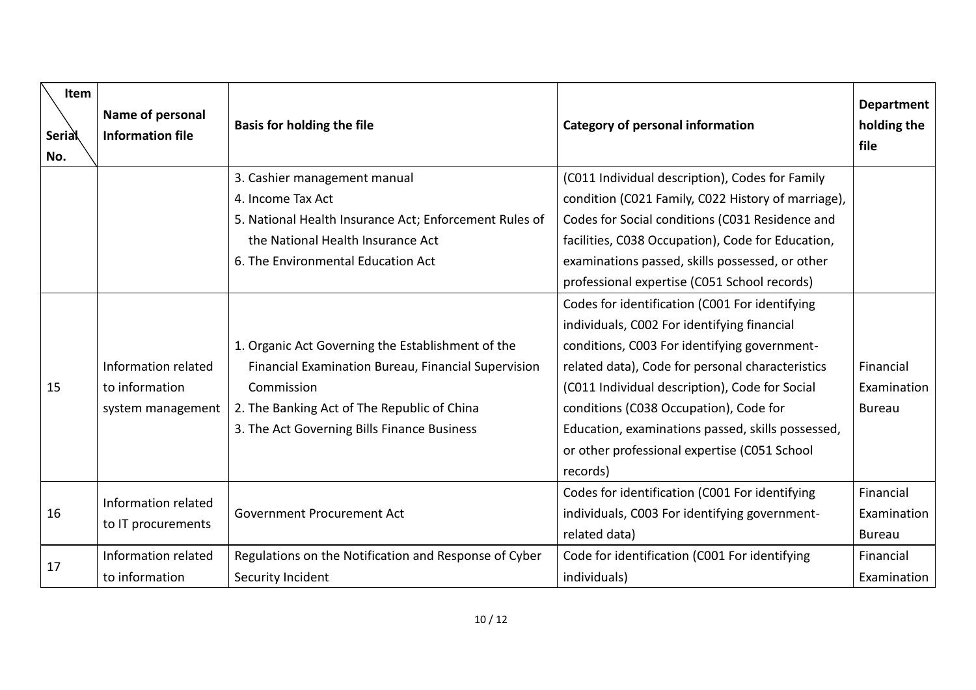| Item<br><b>Serial</b><br>No. | Name of personal<br><b>Information file</b> | <b>Basis for holding the file</b>                      | <b>Category of personal information</b>            | <b>Department</b><br>holding the<br>file |
|------------------------------|---------------------------------------------|--------------------------------------------------------|----------------------------------------------------|------------------------------------------|
|                              |                                             | 3. Cashier management manual                           | (C011 Individual description), Codes for Family    |                                          |
|                              |                                             | 4. Income Tax Act                                      | condition (C021 Family, C022 History of marriage), |                                          |
|                              |                                             | 5. National Health Insurance Act; Enforcement Rules of | Codes for Social conditions (C031 Residence and    |                                          |
|                              |                                             | the National Health Insurance Act                      | facilities, C038 Occupation), Code for Education,  |                                          |
|                              |                                             | 6. The Environmental Education Act                     | examinations passed, skills possessed, or other    |                                          |
|                              |                                             |                                                        | professional expertise (C051 School records)       |                                          |
|                              |                                             |                                                        | Codes for identification (C001 For identifying     |                                          |
|                              |                                             |                                                        | individuals, C002 For identifying financial        |                                          |
|                              |                                             | 1. Organic Act Governing the Establishment of the      | conditions, C003 For identifying government-       |                                          |
|                              | Information related                         | Financial Examination Bureau, Financial Supervision    | related data), Code for personal characteristics   | Financial                                |
| 15                           | to information                              | Commission                                             | (C011 Individual description), Code for Social     | Examination                              |
|                              | system management                           | 2. The Banking Act of The Republic of China            | conditions (C038 Occupation), Code for             | <b>Bureau</b>                            |
|                              |                                             | 3. The Act Governing Bills Finance Business            | Education, examinations passed, skills possessed,  |                                          |
|                              |                                             |                                                        | or other professional expertise (C051 School       |                                          |
|                              |                                             |                                                        | records)                                           |                                          |
|                              | Information related                         |                                                        | Codes for identification (C001 For identifying     | Financial                                |
| 16                           |                                             | <b>Government Procurement Act</b>                      | individuals, C003 For identifying government-      | Examination                              |
|                              | to IT procurements                          |                                                        | related data)                                      | <b>Bureau</b>                            |
|                              | Information related                         | Regulations on the Notification and Response of Cyber  | Code for identification (C001 For identifying      | Financial                                |
| 17                           | to information                              | Security Incident                                      | individuals)                                       | Examination                              |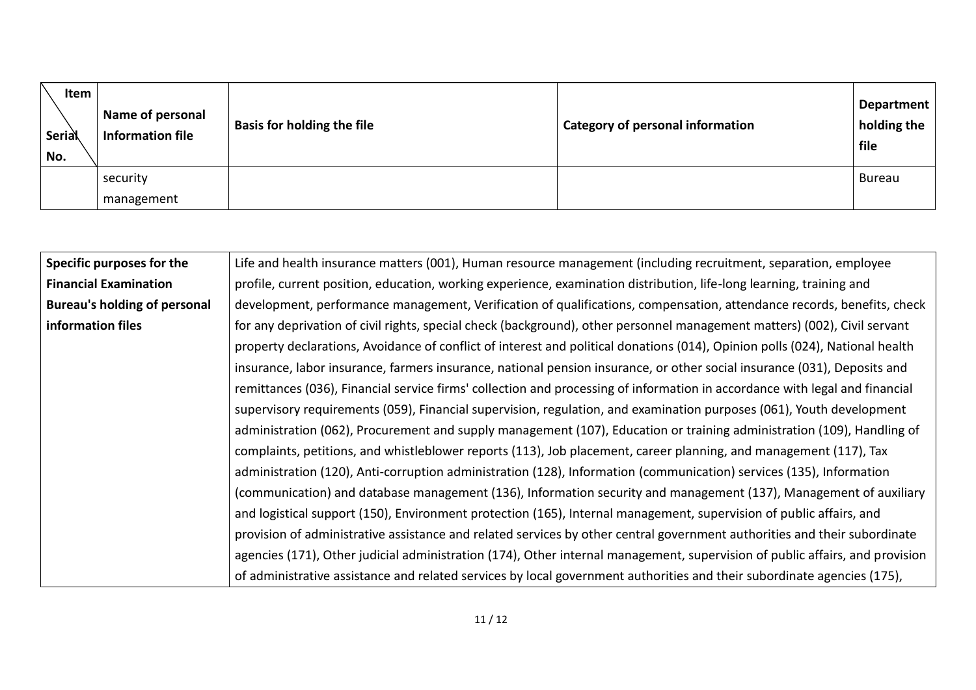| Item<br>Serial<br>No. | <b>Name of personal</b><br>Information file | <b>Basis for holding the file</b> | <b>Category of personal information</b> | <b>Department</b><br>holding the<br>file |
|-----------------------|---------------------------------------------|-----------------------------------|-----------------------------------------|------------------------------------------|
|                       | security                                    |                                   |                                         | <b>Bureau</b>                            |
|                       | management                                  |                                   |                                         |                                          |

| Specific purposes for the    | Life and health insurance matters (001), Human resource management (including recruitment, separation, employee              |
|------------------------------|------------------------------------------------------------------------------------------------------------------------------|
| <b>Financial Examination</b> | profile, current position, education, working experience, examination distribution, life-long learning, training and         |
| Bureau's holding of personal | development, performance management, Verification of qualifications, compensation, attendance records, benefits, check       |
| information files            | for any deprivation of civil rights, special check (background), other personnel management matters) (002), Civil servant    |
|                              | property declarations, Avoidance of conflict of interest and political donations (014), Opinion polls (024), National health |
|                              | insurance, labor insurance, farmers insurance, national pension insurance, or other social insurance (031), Deposits and     |
|                              | remittances (036), Financial service firms' collection and processing of information in accordance with legal and financial  |
|                              | supervisory requirements (059), Financial supervision, regulation, and examination purposes (061), Youth development         |
|                              | administration (062), Procurement and supply management (107), Education or training administration (109), Handling of       |
|                              | complaints, petitions, and whistleblower reports (113), Job placement, career planning, and management (117), Tax            |
|                              | administration (120), Anti-corruption administration (128), Information (communication) services (135), Information          |
|                              | (communication) and database management (136), Information security and management (137), Management of auxiliary            |
|                              | and logistical support (150), Environment protection (165), Internal management, supervision of public affairs, and          |
|                              | provision of administrative assistance and related services by other central government authorities and their subordinate    |
|                              | agencies (171), Other judicial administration (174), Other internal management, supervision of public affairs, and provision |
|                              | of administrative assistance and related services by local government authorities and their subordinate agencies (175),      |